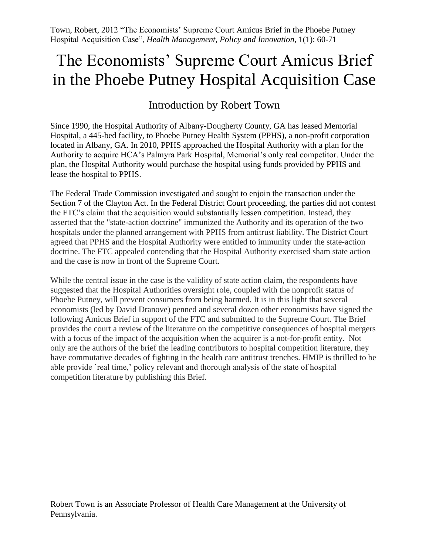Town, Robert, 2012 "The Economists' Supreme Court Amicus Brief in the Phoebe Putney Hospital Acquisition Case", *Health Management, Policy and Innovation*, 1(1): 60-71

# The Economists' Supreme Court Amicus Brief in the Phoebe Putney Hospital Acquisition Case

## Introduction by Robert Town

Since 1990, the Hospital Authority of Albany-Dougherty County, GA has leased Memorial Hospital, a 445-bed facility, to Phoebe Putney Health System (PPHS), a non-profit corporation located in Albany, GA. In 2010, PPHS approached the Hospital Authority with a plan for the Authority to acquire HCA's Palmyra Park Hospital, Memorial's only real competitor. Under the plan, the Hospital Authority would purchase the hospital using funds provided by PPHS and lease the hospital to PPHS.

The Federal Trade Commission investigated and sought to enjoin the transaction under the Section 7 of the Clayton Act. In the Federal District Court proceeding, the parties did not contest the FTC's claim that the acquisition would substantially lessen competition. Instead, they asserted that the "state-action doctrine" immunized the Authority and its operation of the two hospitals under the planned arrangement with PPHS from antitrust liability. The District Court agreed that PPHS and the Hospital Authority were entitled to immunity under the state-action doctrine. The FTC appealed contending that the Hospital Authority exercised sham state action and the case is now in front of the Supreme Court.

While the central issue in the case is the validity of state action claim, the respondents have suggested that the Hospital Authorities oversight role, coupled with the nonprofit status of Phoebe Putney, will prevent consumers from being harmed. It is in this light that several economists (led by David Dranove) penned and several dozen other economists have signed the following Amicus Brief in support of the FTC and submitted to the Supreme Court. The Brief provides the court a review of the literature on the competitive consequences of hospital mergers with a focus of the impact of the acquisition when the acquirer is a not-for-profit entity. Not only are the authors of the brief the leading contributors to hospital competition literature, they have commutative decades of fighting in the health care antitrust trenches. HMIP is thrilled to be able provide `real time,' policy relevant and thorough analysis of the state of hospital competition literature by publishing this Brief.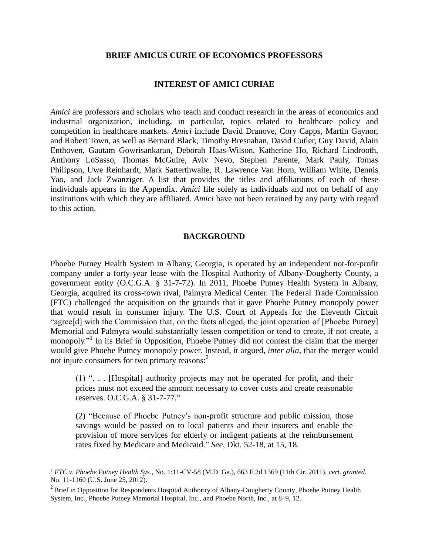#### **BRIEF AMICUS CURIE OF ECONOMICS PROFESSORS**

## **INTEREST OF AMICI CURIAE**

*Amici* are professors and scholars who teach and conduct research in the areas of economics and industrial organization, including, in particular, topics related to healthcare policy and competition in healthcare markets. *Amici* include David Dranove, Cory Capps, Martin Gaynor, and Robert Town, as well as Bernard Black, Timothy Bresnahan, David Cutler, Guy David, Alain Enthoven, Gautam Gowrisankaran, Deborah Haas-Wilson, Katherine Ho, Richard Lindrooth, Anthony LoSasso, Thomas McGuire, Aviv Nevo, Stephen Parente, Mark Pauly, Tomas Philipson, Uwe Reinhardt, Mark Satterthwaite, R. Lawrence Van Horn, William White, Dennis Yao, and Jack Zwanziger. A list that provides the titles and affiliations of each of these individuals appears in the Appendix. *Amici* file solely as individuals and not on behalf of any institutions with which they are affiliated. *Amici* have not been retained by any party with regard to this action.

## **BACKGROUND**

Phoebe Putney Health System in Albany, Georgia, is operated by an independent not-for-profit company under a forty-year lease with the Hospital Authority of Albany-Dougherty County, a government entity (O.C.G.A. § 31-7-72). In 2011, Phoebe Putney Health System in Albany, Georgia, acquired its cross-town rival, Palmyra Medical Center. The Federal Trade Commission (FTC) challenged the acquisition on the grounds that it gave Phoebe Putney monopoly power that would result in consumer injury. The U.S. Court of Appeals for the Eleventh Circuit "agree[d] with the Commission that, on the facts alleged, the joint operation of [Phoebe Putney] Memorial and Palmyra would substantially lessen competition or tend to create, if not create, a monopoly."<sup>1</sup> In its Brief in Opposition, Phoebe Putney did not contest the claim that the merger would give Phoebe Putney monopoly power. Instead, it argued, *inter alia*, that the merger would not injure consumers for two primary reasons:<sup>2</sup>

(1) ". . . [Hospital] authority projects may not be operated for profit, and their prices must not exceed the amount necessary to cover costs and create reasonable reserves. O.C.G.A. § 31-7-77."

(2) "Because of Phoebe Putney's non-profit structure and public mission, those savings would be passed on to local patients and their insurers and enable the provision of more services for elderly or indigent patients at the reimbursement rates fixed by Medicare and Medicaid." *See*, Dkt. 52-18, at 15, 18.

<sup>1</sup> *FTC v. Phoebe Putney Health Sys.*, No. 1:11-CV-58 (M.D. Ga.), 663 F.2d 1369 (11th Cir. 2011), *cert. granted*, No. 11-1160 (U.S. June 25, 2012).

 $2^2$  Brief in Opposition for Respondents Hospital Authority of Albany-Dougherty County, Phoebe Putney Health System, Inc., Phoebe Putney Memorial Hospital, Inc., and Phoebe North, Inc., at 8–9, 12.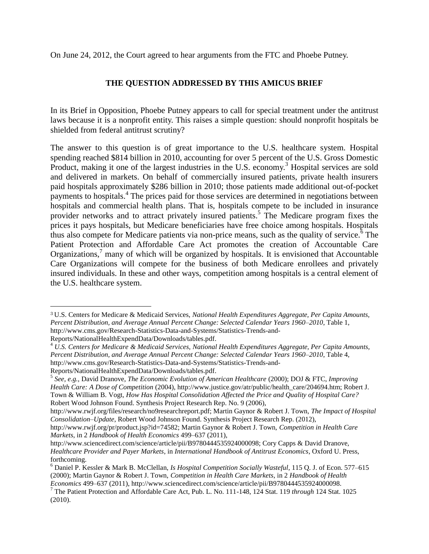On June 24, 2012, the Court agreed to hear arguments from the FTC and Phoebe Putney.

## **THE QUESTION ADDRESSED BY THIS AMICUS BRIEF**

In its Brief in Opposition, Phoebe Putney appears to call for special treatment under the antitrust laws because it is a nonprofit entity. This raises a simple question: should nonprofit hospitals be shielded from federal antitrust scrutiny?

The answer to this question is of great importance to the U.S. healthcare system. Hospital spending reached \$814 billion in 2010, accounting for over 5 percent of the U.S. Gross Domestic Product, making it one of the largest industries in the U.S. economy.<sup>3</sup> Hospital services are sold and delivered in markets. On behalf of commercially insured patients, private health insurers paid hospitals approximately \$286 billion in 2010; those patients made additional out-of-pocket payments to hospitals.<sup>4</sup> The prices paid for those services are determined in negotiations between hospitals and commercial health plans. That is, hospitals compete to be included in insurance provider networks and to attract privately insured patients.<sup>5</sup> The Medicare program fixes the prices it pays hospitals, but Medicare beneficiaries have free choice among hospitals. Hospitals thus also compete for Medicare patients via non-price means, such as the quality of service.<sup> $\delta$ </sup> The Patient Protection and Affordable Care Act promotes the creation of Accountable Care Organizations,<sup>7</sup> many of which will be organized by hospitals. It is envisioned that Accountable Care Organizations will compete for the business of both Medicare enrollees and privately insured individuals. In these and other ways, competition among hospitals is a central element of the U.S. healthcare system.

 $\overline{a}$ 

<sup>3</sup> U.S. Centers for Medicare & Medicaid Services, *National Health Expenditures Aggregate, Per Capita Amounts, Percent Distribution, and Average Annual Percent Change: Selected Calendar Years 1960–2010*, Table 1, [http://www.cms.gov/Research-Statistics-Data-and-Systems/Statistics-Trends-and-](http://www.cms.gov/Research-Statistics-Data-and-Systems/Statistics-Trends-and-Reports/NationalHealthExpendData/Downloads/tables.pdf)

[Reports/NationalHealthExpendData/Downloads/tables.pdf.](http://www.cms.gov/Research-Statistics-Data-and-Systems/Statistics-Trends-and-Reports/NationalHealthExpendData/Downloads/tables.pdf)

<sup>4</sup> *U.S. Centers for Medicare & Medicaid Services, National Health Expenditures Aggregate, Per Capita Amounts, Percent Distribution, and Average Annual Percent Change: Selected Calendar Years 1960–2010*, Table 4, [http://www.cms.gov/Research-Statistics-Data-and-Systems/Statistics-Trends-and-](http://www.cms.gov/Research-Statistics-Data-and-Systems/Statistics-Trends-and-Reports/NationalHealthExpendData/Downloads/tables.pdf)

[Reports/NationalHealthExpendData/Downloads/tables.pdf.](http://www.cms.gov/Research-Statistics-Data-and-Systems/Statistics-Trends-and-Reports/NationalHealthExpendData/Downloads/tables.pdf)

<sup>5</sup> *See, e.g.,* David Dranove, *The Economic Evolution of American Healthcare* (2000); DOJ & FTC, *Improving Health Care: A Dose of Competition* (2004), http://www.justice.gov/atr/public/health\_care/204694.htm; Robert J. Town & William B. Vogt, *How Has Hospital Consolidation Affected the Price and Quality of Hospital Care?* Robert Wood Johnson Found. Synthesis Project Research Rep. No. 9 (2006),

http://www.rwjf.org/files/research/no9researchreport.pdf; Martin Gaynor & Robert J. Town, *The Impact of Hospital Consolidation–Update*, Robert Wood Johnson Found. Synthesis Project Research Rep. (2012),

http://www.rwjf.org/pr/product.jsp?id=74582; Martin Gaynor & Robert J. Town, *Competition in Health Care Markets*, in 2 *Handbook of Health Economics* 499–637 (2011),

http://www.sciencedirect.com/science/article/pii/B9780444535924000098; Cory Capps & David Dranove, *Healthcare Provider and Payer Markets*, in *International Handbook of Antitrust Economics*, Oxford U. Press, forthcoming.

<sup>6</sup> Daniel P. Kessler & Mark B. McClellan, *Is Hospital Competition Socially Wasteful*, 115 Q. J. of Econ. 577–615 (2000); Martin Gaynor & Robert J. Town, *Competition in Health Care Markets*, in 2 *Handbook of Health Economics* 499–637 (2011), http://www.sciencedirect.com/science/article/pii/B9780444535924000098.

<sup>7</sup> The Patient Protection and Affordable Care Act, Pub. L. No. 111-148, 124 Stat. 119 *through* 124 Stat. 1025 (2010).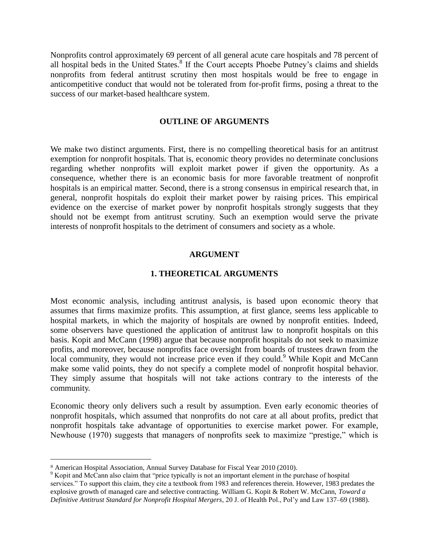Nonprofits control approximately 69 percent of all general acute care hospitals and 78 percent of all hospital beds in the United States.<sup>8</sup> If the Court accepts Phoebe Putney's claims and shields nonprofits from federal antitrust scrutiny then most hospitals would be free to engage in anticompetitive conduct that would not be tolerated from for-profit firms, posing a threat to the success of our market-based healthcare system.

#### **OUTLINE OF ARGUMENTS**

We make two distinct arguments. First, there is no compelling theoretical basis for an antitrust exemption for nonprofit hospitals. That is, economic theory provides no determinate conclusions regarding whether nonprofits will exploit market power if given the opportunity. As a consequence, whether there is an economic basis for more favorable treatment of nonprofit hospitals is an empirical matter. Second, there is a strong consensus in empirical research that, in general, nonprofit hospitals do exploit their market power by raising prices. This empirical evidence on the exercise of market power by nonprofit hospitals strongly suggests that they should not be exempt from antitrust scrutiny. Such an exemption would serve the private interests of nonprofit hospitals to the detriment of consumers and society as a whole.

#### **ARGUMENT**

#### **1. THEORETICAL ARGUMENTS**

Most economic analysis, including antitrust analysis, is based upon economic theory that assumes that firms maximize profits. This assumption, at first glance, seems less applicable to hospital markets, in which the majority of hospitals are owned by nonprofit entities. Indeed, some observers have questioned the application of antitrust law to nonprofit hospitals on this basis. Kopit and McCann (1998) argue that because nonprofit hospitals do not seek to maximize profits, and moreover, because nonprofits face oversight from boards of trustees drawn from the local community, they would not increase price even if they could.<sup>9</sup> While Kopit and McCann make some valid points, they do not specify a complete model of nonprofit hospital behavior. They simply assume that hospitals will not take actions contrary to the interests of the community.

Economic theory only delivers such a result by assumption. Even early economic theories of nonprofit hospitals, which assumed that nonprofits do not care at all about profits, predict that nonprofit hospitals take advantage of opportunities to exercise market power. For example, Newhouse (1970) suggests that managers of nonprofits seek to maximize "prestige," which is

<sup>8</sup> American Hospital Association, Annual Survey Database for Fiscal Year 2010 (2010).

<sup>&</sup>lt;sup>9</sup> Kopit and McCann also claim that "price typically is not an important element in the purchase of hospital services." To support this claim, they cite a textbook from 1983 and references therein. However, 1983 predates the explosive growth of managed care and selective contracting. William G. Kopit & Robert W. McCann, *Toward a Definitive Antitrust Standard for Nonprofit Hospital Mergers*, 20 J. of Health Pol., Pol'y and Law 137–69 (1988).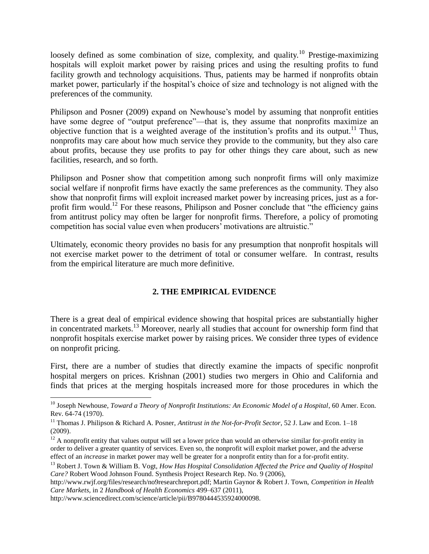loosely defined as some combination of size, complexity, and quality.<sup>10</sup> Prestige-maximizing hospitals will exploit market power by raising prices and using the resulting profits to fund facility growth and technology acquisitions. Thus, patients may be harmed if nonprofits obtain market power, particularly if the hospital's choice of size and technology is not aligned with the preferences of the community.

Philipson and Posner (2009) expand on Newhouse's model by assuming that nonprofit entities have some degree of "output preference"—that is, they assume that nonprofits maximize an objective function that is a weighted average of the institution's profits and its output.<sup>11</sup> Thus, nonprofits may care about how much service they provide to the community, but they also care about profits, because they use profits to pay for other things they care about, such as new facilities, research, and so forth.

Philipson and Posner show that competition among such nonprofit firms will only maximize social welfare if nonprofit firms have exactly the same preferences as the community. They also show that nonprofit firms will exploit increased market power by increasing prices, just as a forprofit firm would.<sup>12</sup> For these reasons, Philipson and Posner conclude that "the efficiency gains" from antitrust policy may often be larger for nonprofit firms. Therefore, a policy of promoting competition has social value even when producers' motivations are altruistic."

Ultimately, economic theory provides no basis for any presumption that nonprofit hospitals will not exercise market power to the detriment of total or consumer welfare. In contrast, results from the empirical literature are much more definitive.

## **2. THE EMPIRICAL EVIDENCE**

There is a great deal of empirical evidence showing that hospital prices are substantially higher in concentrated markets.<sup>13</sup> Moreover, nearly all studies that account for ownership form find that nonprofit hospitals exercise market power by raising prices. We consider three types of evidence on nonprofit pricing.

First, there are a number of studies that directly examine the impacts of specific nonprofit hospital mergers on prices. Krishnan (2001) studies two mergers in Ohio and California and finds that prices at the merging hospitals increased more for those procedures in which the

<sup>&</sup>lt;sup>10</sup> Joseph Newhouse, *Toward a Theory of Nonprofit Institutions: An Economic Model of a Hospital*, 60 Amer. Econ. Rev. 64-74 (1970).

<sup>11</sup> Thomas J. Philipson & Richard A. Posner, *Antitrust in the Not-for-Profit Sector*, 52 J. Law and Econ. 1–18 (2009).

 $12$  A nonprofit entity that values output will set a lower price than would an otherwise similar for-profit entity in order to deliver a greater quantity of services. Even so, the nonprofit will exploit market power, and the adverse effect of an *increase* in market power may well be greater for a nonprofit entity than for a for-profit entity.

<sup>&</sup>lt;sup>13</sup> Robert J. Town & William B. Vogt, *How Has Hospital Consolidation Affected the Price and Quality of Hospital Care?* Robert Wood Johnson Found. Synthesis Project Research Rep. No. 9 (2006),

http://www.rwjf.org/files/research/no9researchreport.pdf; Martin Gaynor & Robert J. Town, *Competition in Health Care Markets*, in 2 *Handbook of Health Economics* 499–637 (2011),

http://www.sciencedirect.com/science/article/pii/B9780444535924000098.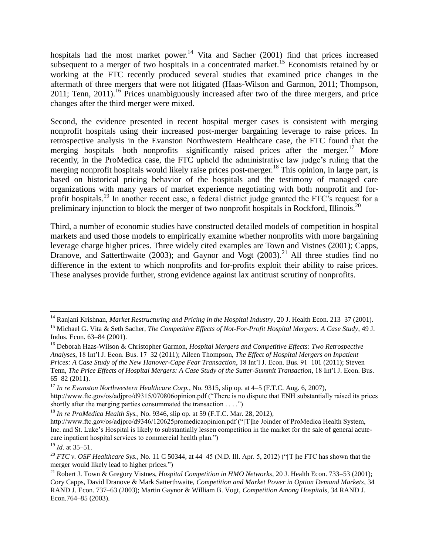hospitals had the most market power.<sup>14</sup> Vita and Sacher (2001) find that prices increased subsequent to a merger of two hospitals in a concentrated market.<sup>15</sup> Economists retained by or working at the FTC recently produced several studies that examined price changes in the aftermath of three mergers that were not litigated (Haas-Wilson and Garmon, 2011; Thompson, 2011; Tenn, 2011).<sup>16</sup> Prices unambiguously increased after two of the three mergers, and price changes after the third merger were mixed.

Second, the evidence presented in recent hospital merger cases is consistent with merging nonprofit hospitals using their increased post-merger bargaining leverage to raise prices. In retrospective analysis in the Evanston Northwestern Healthcare case, the FTC found that the merging hospitals—both nonprofits—significantly raised prices after the merger.<sup>17</sup> More recently, in the ProMedica case, the FTC upheld the administrative law judge's ruling that the merging nonprofit hospitals would likely raise prices post-merger.<sup>18</sup> This opinion, in large part, is based on historical pricing behavior of the hospitals and the testimony of managed care organizations with many years of market experience negotiating with both nonprofit and forprofit hospitals.<sup>19</sup> In another recent case, a federal district judge granted the FTC's request for a preliminary injunction to block the merger of two nonprofit hospitals in Rockford, Illinois.<sup>20</sup>

Third, a number of economic studies have constructed detailed models of competition in hospital markets and used those models to empirically examine whether nonprofits with more bargaining leverage charge higher prices. Three widely cited examples are Town and Vistnes (2001); Capps, Dranove, and Satterthwaite (2003); and Gaynor and Vogt (2003).<sup>21</sup> All three studies find no difference in the extent to which nonprofits and for-profits exploit their ability to raise prices. These analyses provide further, strong evidence against lax antitrust scrutiny of nonprofits.

<sup>14</sup> Ranjani Krishnan, *Market Restructuring and Pricing in the Hospital Industry*, 20 J. Health Econ. 213–37 (2001). <sup>15</sup> Michael G. Vita & Seth Sacher, *The Competitive Effects of Not-For-Profit Hospital Mergers: A Case Study*, 49 J. Indus. Econ. 63–84 (2001).

<sup>16</sup> Deborah Haas-Wilson & Christopher Garmon, *Hospital Mergers and Competitive Effects: Two Retrospective Analyses*, 18 Int'l J. Econ. Bus. 17–32 (2011); Aileen Thompson, *The Effect of Hospital Mergers on Inpatient Prices: A Case Study of the New Hanover-Cape Fear Transaction*, 18 Int'l J. Econ. Bus. 91–101 (2011); Steven Tenn, *The Price Effects of Hospital Mergers: A Case Study of the Sutter-Summit Transaction*, 18 Int'l J. Econ. Bus. 65–82 (2011).

<sup>17</sup> *In re Evanston Northwestern Healthcare Corp.*, No. 9315, slip op. at 4–5 (F.T.C. Aug. 6, 2007), http://www.ftc.gov/os/adjpro/d9315/070806opinion.pdf ("There is no dispute that ENH substantially raised its prices shortly after the merging parties consummated the transaction . . . .")

<sup>18</sup> *In re ProMedica Health Sys.*, No. 9346, slip op. at 59 (F.T.C. Mar. 28, 2012),

http://www.ftc.gov/os/adjpro/d9346/120625promedicaopinion.pdf ("[T]he Joinder of ProMedica Health System, Inc. and St. Luke's Hospital is likely to substantially lessen competition in the market for the sale of general acutecare inpatient hospital services to commercial health plan.")

<sup>19</sup> *Id*. at 35–51.

<sup>20</sup> *FTC v. OSF Healthcare Sys.*, No. 11 C 50344, at 44–45 (N.D. Ill. Apr. 5, 2012) ("[T]he FTC has shown that the merger would likely lead to higher prices.")

<sup>21</sup> Robert J. Town & Gregory Vistnes, *Hospital Competition in HMO Networks*, 20 J. Health Econ. 733–53 (2001); Cory Capps, David Dranove & Mark Satterthwaite, *Competition and Market Power in Option Demand Markets*, 34 RAND J. Econ. 737–63 (2003); Martin Gaynor & William B. Vogt, *Competition Among Hospitals*, 34 RAND J. Econ.764–85 (2003).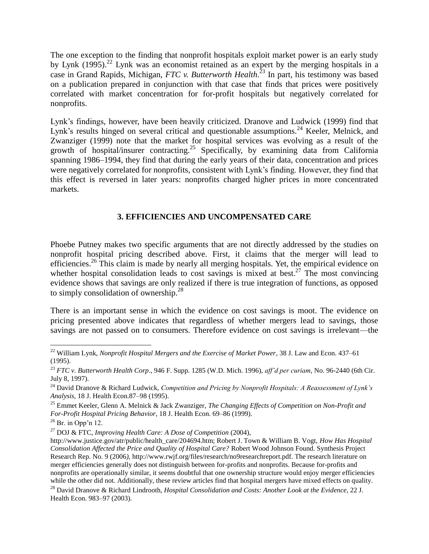The one exception to the finding that nonprofit hospitals exploit market power is an early study by Lynk (1995).<sup>22</sup> Lynk was an economist retained as an expert by the merging hospitals in a case in Grand Rapids, Michigan, *FTC v. Butterworth Health*. <sup>23</sup> In part, his testimony was based on a publication prepared in conjunction with that case that finds that prices were positively correlated with market concentration for for-profit hospitals but negatively correlated for nonprofits.

Lynk's findings, however, have been heavily criticized. Dranove and Ludwick (1999) find that Lynk's results hinged on several critical and questionable assumptions.<sup>24</sup> Keeler, Melnick, and Zwanziger (1999) note that the market for hospital services was evolving as a result of the growth of hospital/insurer contracting.<sup>25</sup> Specifically, by examining data from California spanning 1986–1994, they find that during the early years of their data, concentration and prices were negatively correlated for nonprofits, consistent with Lynk's finding. However, they find that this effect is reversed in later years: nonprofits charged higher prices in more concentrated markets.

## **3. EFFICIENCIES AND UNCOMPENSATED CARE**

Phoebe Putney makes two specific arguments that are not directly addressed by the studies on nonprofit hospital pricing described above. First, it claims that the merger will lead to efficiencies.<sup>26</sup> This claim is made by nearly all merging hospitals. Yet, the empirical evidence on whether hospital consolidation leads to cost savings is mixed at best.<sup>27</sup> The most convincing evidence shows that savings are only realized if there is true integration of functions, as opposed to simply consolidation of ownership.<sup>28</sup>

There is an important sense in which the evidence on cost savings is moot. The evidence on pricing presented above indicates that regardless of whether mergers lead to savings, those savings are not passed on to consumers. Therefore evidence on cost savings is irrelevant—the

l <sup>22</sup> William Lynk, *Nonprofit Hospital Mergers and the Exercise of Market Power*, 38 J. Law and Econ. 437–61 (1995).

<sup>23</sup> *FTC v. Butterworth Health Corp*., 946 F. Supp. 1285 (W.D. Mich. 1996), *aff'd per curiam*, No. 96-2440 (6th Cir. July 8, 1997).

<sup>24</sup> David Dranove & Richard Ludwick, *Competition and Pricing by Nonprofit Hospitals: A Reassessment of Lynk's Analysis*, 18 J. Health Econ.87–98 (1995).

<sup>25</sup> Emmet Keeler, Glenn A. Melnick & Jack Zwanziger, *The Changing Effects of Competition on Non-Profit and For-Profit Hospital Pricing Behavior*, 18 J. Health Econ. 69–86 (1999).

 $26$  Br. in Opp'n 12.

<sup>27</sup> DOJ & FTC, *Improving Health Care: A Dose of Competition* (2004),

http://www.justice.gov/atr/public/health\_care/204694.htm; Robert J. Town & William B. Vogt, *How Has Hospital Consolidation Affected the Price and Quality of Hospital Care?* Robert Wood Johnson Found. Synthesis Project Research Rep. No. 9 (2006*)*, http://www.rwjf.org/files/research/no9researchreport.pdf. The research literature on merger efficiencies generally does not distinguish between for-profits and nonprofits. Because for-profits and nonprofits are operationally similar, it seems doubtful that one ownership structure would enjoy merger efficiencies while the other did not. Additionally, these review articles find that hospital mergers have mixed effects on quality.

<sup>28</sup> David Dranove & Richard Lindrooth, *Hospital Consolidation and Costs: Another Look at the Evidence*, 22 J. Health Econ. 983–97 (2003).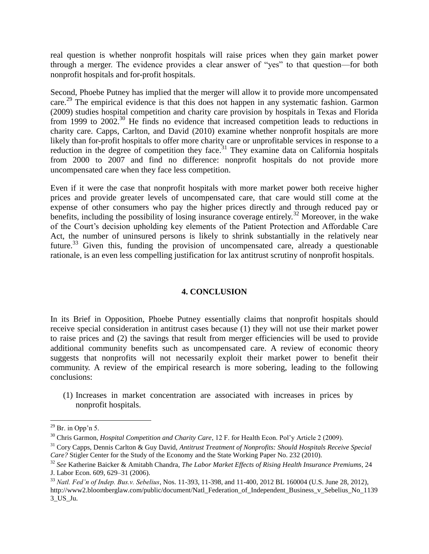real question is whether nonprofit hospitals will raise prices when they gain market power through a merger. The evidence provides a clear answer of "yes" to that question—for both nonprofit hospitals and for-profit hospitals.

Second, Phoebe Putney has implied that the merger will allow it to provide more uncompensated care.<sup>29</sup> The empirical evidence is that this does not happen in any systematic fashion. Garmon (2009) studies hospital competition and charity care provision by hospitals in Texas and Florida from 1999 to 2002.<sup>30</sup> He finds no evidence that increased competition leads to reductions in charity care. Capps, Carlton, and David (2010) examine whether nonprofit hospitals are more likely than for-profit hospitals to offer more charity care or unprofitable services in response to a reduction in the degree of competition they face.<sup>31</sup> They examine data on California hospitals from 2000 to 2007 and find no difference: nonprofit hospitals do not provide more uncompensated care when they face less competition.

Even if it were the case that nonprofit hospitals with more market power both receive higher prices and provide greater levels of uncompensated care, that care would still come at the expense of other consumers who pay the higher prices directly and through reduced pay or benefits, including the possibility of losing insurance coverage entirely.<sup>32</sup> Moreover, in the wake of the Court's decision upholding key elements of the Patient Protection and Affordable Care Act, the number of uninsured persons is likely to shrink substantially in the relatively near future.<sup>33</sup> Given this, funding the provision of uncompensated care, already a questionable rationale, is an even less compelling justification for lax antitrust scrutiny of nonprofit hospitals.

## **4. CONCLUSION**

In its Brief in Opposition, Phoebe Putney essentially claims that nonprofit hospitals should receive special consideration in antitrust cases because (1) they will not use their market power to raise prices and (2) the savings that result from merger efficiencies will be used to provide additional community benefits such as uncompensated care. A review of economic theory suggests that nonprofits will not necessarily exploit their market power to benefit their community. A review of the empirical research is more sobering, leading to the following conclusions:

(1) Increases in market concentration are associated with increases in prices by nonprofit hospitals.

 $^{29}$  Br. in Opp'n 5.

<sup>30</sup> Chris Garmon, *Hospital Competition and Charity Care*, 12 F. for Health Econ. Pol'y Article 2 (2009).

<sup>31</sup> Cory Capps, Dennis Carlton & Guy David, *Antitrust Treatment of Nonprofits: Should Hospitals Receive Special Care?* Stigler Center for the Study of the Economy and the State Working Paper No. 232 (2010).

<sup>32</sup> *See* Katherine Baicker & Amitabh Chandra, *The Labor Market Effects of Rising Health Insurance Premiums*, 24 J. Labor Econ. 609, 629–31 (2006).

<sup>33</sup> *Natl. Fed'n of Indep. Bus.v. Sebelius*, Nos. 11-393, 11-398, and 11-400, 2012 BL 160004 (U.S. June 28, 2012), http://www2.bloomberglaw.com/public/document/Natl\_Federation\_of\_Independent\_Business\_v\_Sebelius\_No\_1139 3\_US\_Ju.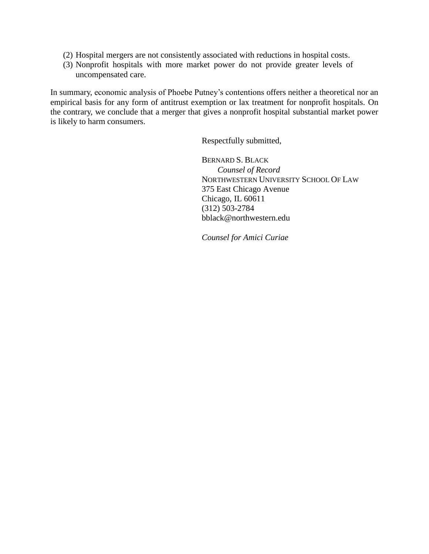- (2) Hospital mergers are not consistently associated with reductions in hospital costs.
- (3) Nonprofit hospitals with more market power do not provide greater levels of uncompensated care.

In summary, economic analysis of Phoebe Putney's contentions offers neither a theoretical nor an empirical basis for any form of antitrust exemption or lax treatment for nonprofit hospitals. On the contrary, we conclude that a merger that gives a nonprofit hospital substantial market power is likely to harm consumers.

Respectfully submitted,

BERNARD S. BLACK *Counsel of Record* NORTHWESTERN UNIVERSITY SCHOOL OF LAW 375 East Chicago Avenue Chicago, IL 60611 (312) 503-2784 bblack@northwestern.edu

*Counsel for Amici Curiae*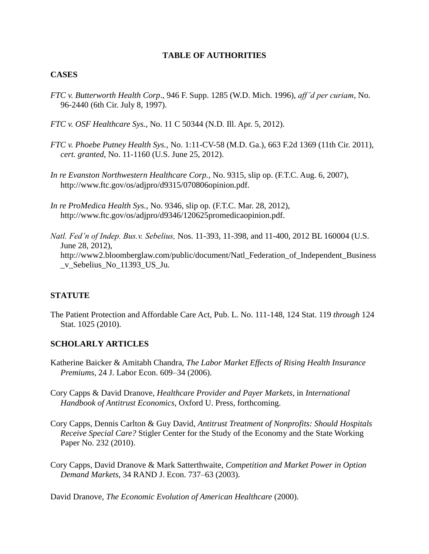## **TABLE OF AUTHORITIES**

## **CASES**

- *FTC v. Butterworth Health Corp*., 946 F. Supp. 1285 (W.D. Mich. 1996), *aff'd per curiam*, No. 96-2440 (6th Cir. July 8, 1997).
- *FTC v. OSF Healthcare Sys.*, No. 11 C 50344 (N.D. Ill. Apr. 5, 2012).
- *FTC v. Phoebe Putney Health Sys.,* No. 1:11-CV-58 (M.D. Ga.), 663 F.2d 1369 (11th Cir. 2011), *cert. granted*, No. 11-1160 (U.S. June 25, 2012).
- *In re Evanston Northwestern Healthcare Corp.,* No. 9315, slip op. (F.T.C. Aug. 6, 2007), http://www.ftc.gov/os/adjpro/d9315/070806opinion.pdf.
- *In re ProMedica Health Sys.,* No. 9346, slip op. (F.T.C. Mar. 28, 2012), http://www.ftc.gov/os/adjpro/d9346/120625promedicaopinion.pdf.
- *Natl. Fed'n of Indep. Bus.v. Sebelius,* Nos. 11-393, 11-398, and 11-400, 2012 BL 160004 (U.S. June 28, 2012), http://www2.bloomberglaw.com/public/document/Natl\_Federation\_of\_Independent\_Business \_v\_Sebelius\_No\_11393\_US\_Ju.

## **STATUTE**

The Patient Protection and Affordable Care Act, Pub. L. No. 111-148, 124 Stat. 119 *through* 124 Stat. 1025 (2010).

#### **SCHOLARLY ARTICLES**

- Katherine Baicker & Amitabh Chandra, *The Labor Market Effects of Rising Health Insurance Premiums*, 24 J. Labor Econ. 609–34 (2006).
- Cory Capps & David Dranove, *Healthcare Provider and Payer Markets*, in *International Handbook of Antitrust Economics*, Oxford U. Press, forthcoming.
- Cory Capps, Dennis Carlton & Guy David, *Antitrust Treatment of Nonprofits: Should Hospitals Receive Special Care?* Stigler Center for the Study of the Economy and the State Working Paper No. 232 (2010).
- Cory Capps, David Dranove & Mark Satterthwaite, *Competition and Market Power in Option Demand Markets*, 34 RAND J. Econ. 737–63 (2003).

David Dranove, *The Economic Evolution of American Healthcare* (2000).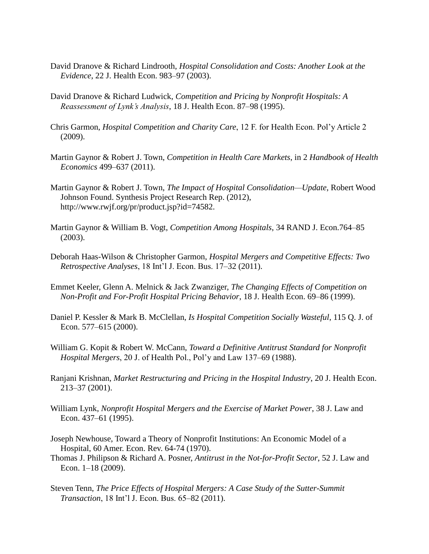- David Dranove & Richard Lindrooth, *Hospital Consolidation and Costs: Another Look at the Evidence*, 22 J. Health Econ. 983–97 (2003).
- David Dranove & Richard Ludwick, *Competition and Pricing by Nonprofit Hospitals: A Reassessment of Lynk's Analysis*, 18 J. Health Econ. 87–98 (1995).
- Chris Garmon, *Hospital Competition and Charity Care*, 12 F. for Health Econ. Pol'y Article 2 (2009).
- Martin Gaynor & Robert J. Town, *Competition in Health Care Markets*, in 2 *Handbook of Health Economics* 499–637 (2011).
- Martin Gaynor & Robert J. Town, *The Impact of Hospital Consolidation—Update*, Robert Wood Johnson Found. Synthesis Project Research Rep. (2012), http://www.rwjf.org/pr/product.jsp?id=74582.
- Martin Gaynor & William B. Vogt, *Competition Among Hospitals*, 34 RAND J. Econ.764–85 (2003).
- Deborah Haas-Wilson & Christopher Garmon, *Hospital Mergers and Competitive Effects: Two Retrospective Analyses*, 18 Int'l J. Econ. Bus. 17–32 (2011).
- Emmet Keeler, Glenn A. Melnick & Jack Zwanziger, *The Changing Effects of Competition on Non-Profit and For-Profit Hospital Pricing Behavior*, 18 J. Health Econ. 69–86 (1999).
- Daniel P. Kessler & Mark B. McClellan, *Is Hospital Competition Socially Wasteful*, 115 Q. J. of Econ. 577–615 (2000).
- William G. Kopit & Robert W. McCann, *Toward a Definitive Antitrust Standard for Nonprofit Hospital Mergers*, 20 J. of Health Pol., Pol'y and Law 137–69 (1988).
- Ranjani Krishnan, *Market Restructuring and Pricing in the Hospital Industry*, 20 J. Health Econ. 213–37 (2001).
- William Lynk, *Nonprofit Hospital Mergers and the Exercise of Market Power*, 38 J. Law and Econ. 437–61 (1995).
- Joseph Newhouse, Toward a Theory of Nonprofit Institutions: An Economic Model of a Hospital, 60 Amer. Econ. Rev. 64-74 (1970).
- Thomas J. Philipson & Richard A. Posner, *Antitrust in the Not-for-Profit Sector*, 52 J. Law and Econ. 1–18 (2009).
- Steven Tenn, *The Price Effects of Hospital Mergers: A Case Study of the Sutter-Summit Transaction*, 18 Int'l J. Econ. Bus. 65–82 (2011).